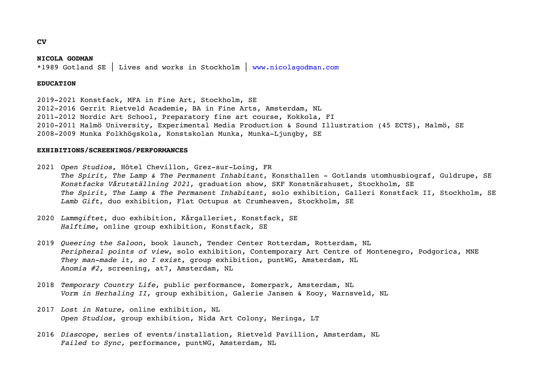#### **NICOLA GODMAN**

\*1989 Gotland SE │ Lives and works in Stockholm │ www.nicolagodman.com

# **EDUCATION**

2019-2021 Konstfack, MFA in Fine Art, Stockholm, SE 2012-2016 Gerrit Rietveld Academie, BA in Fine Arts, Amsterdam, NL 2011-2012 Nordic Art School, Preparatory fine art course, Kokkola, FI 2010-2011 Malmö University, Experimental Media Production & Sound Illustration (45 ECTS), Malmö, SE 2008-2009 Munka Folkhögskola, Konstskolan Munka, Munka-Ljungby, SE

# **EXHIBITIONS/SCREENINGS/PERFORMANCES**

2021 *Open Studios*, Hôtel Chevillon, Grez-sur-Loing, FR *The Spirit, The Lamp & The Permanent Inhabitant*, Konsthallen - Gotlands utomhusbiograf, Guldrupe, SE *Konstfacks Vårutställning 2021*, graduation show, SKF Konstnärshuset, Stockholm, SE *The Spirit, The Lamp & The Permanent Inhabitant*, solo exhibition, Galleri Konstfack II, Stockholm, SE *Lamb Gift*, duo exhibition, Flat Octupus at Crumheaven, Stockholm, SE

- 2020 *Lammgiftet*, duo exhibition, Kårgalleriet, Konstfack, SE *Halftime*, online group exhibition, Konstfack, SE
- 2019 *Queering the Saloon*, book launch, Tender Center Rotterdam, Rotterdam, NL *Peripheral points of view*, solo exhibition, Contemporary Art Centre of Montenegro, Podgorica, MNE *They man-made it, so I exist*, group exhibition, puntWG, Amsterdam, NL *Anomia #2,* screening, at7, Amsterdam, NL
- 2018 *Temporary Country Life*, public performance, Zomerpark, Amsterdam, NL *Vorm in Herhaling II*, group exhibition, Galerie Jansen & Kooy, Warnsveld, NL
- 2017 *Lost in Nature*, online exhibition, NL *Open Studios*, group exhibition, Nida Art Colony, Neringa, LT
- 2016 *Diascope*, series of events/installation, Rietveld Pavillion, Amsterdam, NL *Failed to Sync,* performance, puntWG, Amsterdam, NL

**CV**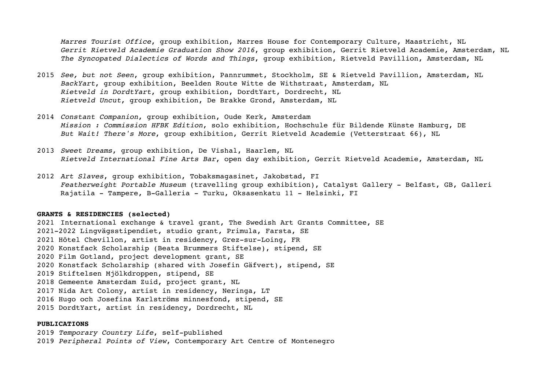*Marres Tourist Office*, group exhibition, Marres House for Contemporary Culture, Maastricht, NL *Gerrit Rietveld Academie Graduation Show 2016*, group exhibition, Gerrit Rietveld Academie, Amsterdam, NL *The Syncopated Dialectics of Words and Things*, group exhibition, Rietveld Pavillion, Amsterdam, NL

- 2015 *See, but not Seen*, group exhibition, Pannrummet, Stockholm, SE & Rietveld Pavillion, Amsterdam, NL *BackYart*, group exhibition, Beelden Route Witte de Withstraat, Amsterdam, NL *Rietveld in DordtYart*, group exhibition, DordtYart, Dordrecht, NL *Rietveld Uncut*, group exhibition, De Brakke Grond, Amsterdam, NL
- 2014 *Constant Companion*, group exhibition, Oude Kerk, Amsterdam *Mission : Commission HFBK Edition*, solo exhibition, Hochschule für Bildende Künste Hamburg, DE *But Wait! There's More*, group exhibition, Gerrit Rietveld Academie (Vetterstraat 66), NL
- 2013 *Sweet Dreams*, group exhibition, De Vishal, Haarlem, NL *Rietveld International Fine Arts Bar*, open day exhibition, Gerrit Rietveld Academie, Amsterdam, NL
- 2012 *Art Slaves*, group exhibition, Tobaksmagasinet, Jakobstad, FI *Featherweight Portable Museum* (travelling group exhibition), Catalyst Gallery - Belfast, GB, Galleri Rajatila - Tampere, B-Galleria - Turku, Oksasenkatu 11 - Helsinki, FI

## **GRANTS & RESIDENCIES (selected)**

2021 International exchange & travel grant, The Swedish Art Grants Committee, SE 2021-2022 Lingvägsstipendiet, studio grant, Primula, Farsta, SE 2021 Hôtel Chevillon, artist in residency, Grez-sur-Loing, FR 2020 Konstfack Scholarship (Beata Brummers Stiftelse), stipend, SE 2020 Film Gotland, project development grant, SE 2020 Konstfack Scholarship (shared with Josefin Gäfvert), stipend, SE 2019 Stiftelsen Mjölkdroppen, stipend, SE 2018 Gemeente Amsterdam Zuid, project grant, NL 2017 Nida Art Colony, artist in residency, Neringa, LT 2016 Hugo och Josefina Karlströms minnesfond, stipend, SE 2015 DordtYart, artist in residency, Dordrecht, NL

## **PUBLICATIONS**

2019 *Temporary Country Life*, self-published 2019 *Peripheral Points of View*, Contemporary Art Centre of Montenegro